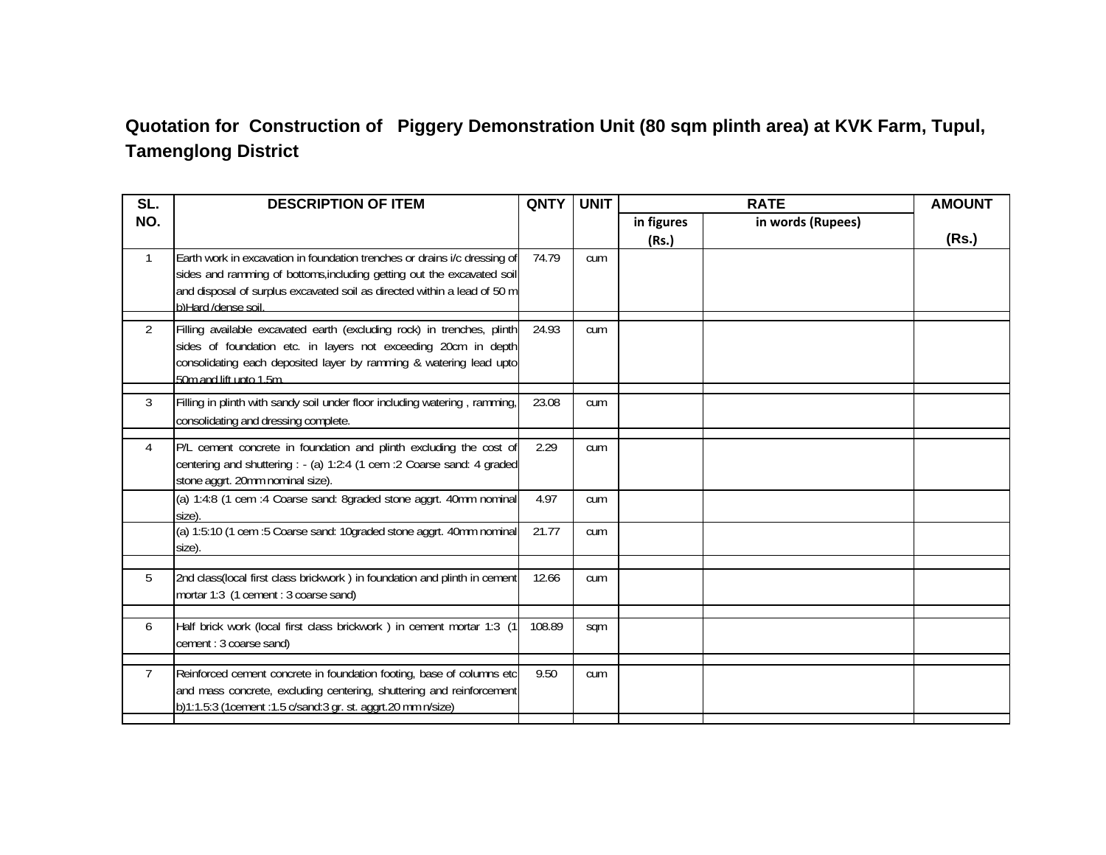## **Quotation for Construction of Piggery Demonstration Unit (80 sqm plinth area) at KVK Farm, Tupul, Tamenglong District**

| SL.            | <b>DESCRIPTION OF ITEM</b>                                                                                                                                                                                                                             | <b>QNTY</b> | <b>UNIT</b> |                     | <b>RATE</b>       | <b>AMOUNT</b> |
|----------------|--------------------------------------------------------------------------------------------------------------------------------------------------------------------------------------------------------------------------------------------------------|-------------|-------------|---------------------|-------------------|---------------|
| NO.            |                                                                                                                                                                                                                                                        |             |             | in figures<br>(Rs.) | in words (Rupees) | (Rs.)         |
| $\mathbf{1}$   | Earth work in excavation in foundation trenches or drains i/c dressing of<br>sides and ramming of bottoms, including getting out the excavated soil<br>and disposal of surplus excavated soil as directed within a lead of 50 m<br>b)Hard /dense soil. | 74.79       | cum         |                     |                   |               |
| $\overline{2}$ | Filling available excavated earth (excluding rock) in trenches, plinth<br>sides of foundation etc. in layers not exceeding 20cm in depth<br>consolidating each deposited layer by ramming & watering lead upto<br>50m and lift upto 1.5m.              | 24.93       | cum         |                     |                   |               |
| 3              | Filling in plinth with sandy soil under floor including watering, ramming,<br>consolidating and dressing complete.                                                                                                                                     | 23.08       | cum         |                     |                   |               |
| 4              | P/L cement concrete in foundation and plinth excluding the cost of<br>centering and shuttering : - (a) 1:2:4 (1 cem : 2 Coarse sand: 4 graded<br>stone aggrt. 20mm nominal size).                                                                      | 2.29        | cum         |                     |                   |               |
|                | (a) 1:4:8 (1 cem :4 Coarse sand: 8graded stone aggrt. 40mm nominal<br>size)                                                                                                                                                                            | 4.97        | cum         |                     |                   |               |
|                | (a) 1:5:10 (1 cem :5 Coarse sand: 10graded stone aggrt. 40mm nominal<br>size).                                                                                                                                                                         | 21.77       | cum         |                     |                   |               |
| 5              | 2nd class(local first class brickwork) in foundation and plinth in cement<br>mortar 1:3 (1 cement : 3 coarse sand)                                                                                                                                     | 12.66       | cum         |                     |                   |               |
| 6              | Half brick work (local first class brickwork) in cement mortar 1:3 (1<br>cement: 3 coarse sand)                                                                                                                                                        | 108.89      | sqm         |                     |                   |               |
| $\overline{7}$ | Reinforced cement concrete in foundation footing, base of columns etc<br>and mass concrete, excluding centering, shuttering and reinforcement<br>b)1:1.5:3 (1cement :1.5 c/sand:3 gr. st. aggrt.20 mm n/size)                                          | 9.50        | cum         |                     |                   |               |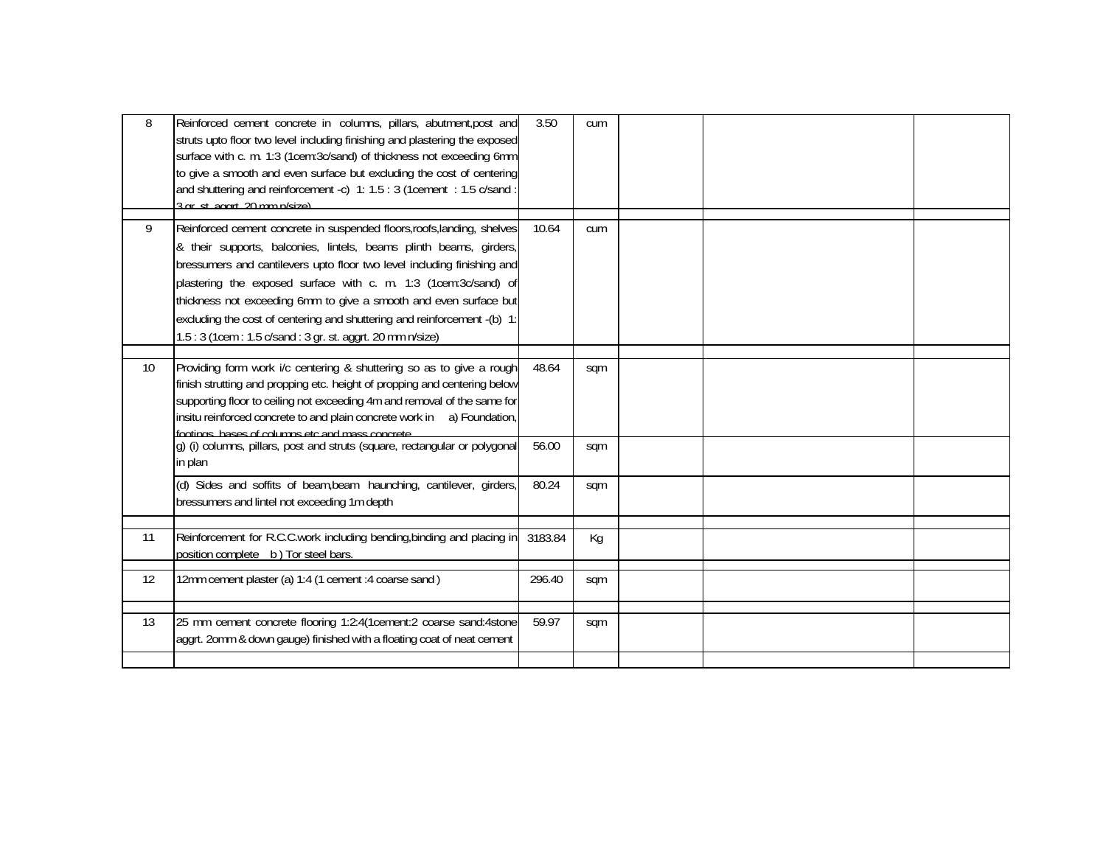| 8               | Reinforced cement concrete in columns, pillars, abutment, post and<br>struts upto floor two level including finishing and plastering the exposed<br>surface with c. m. 1:3 (1cem:3c/sand) of thickness not exceeding 6mm<br>to give a smooth and even surface but excluding the cost of centering                                                                                                                                            | 3.50    | cum |  |  |
|-----------------|----------------------------------------------------------------------------------------------------------------------------------------------------------------------------------------------------------------------------------------------------------------------------------------------------------------------------------------------------------------------------------------------------------------------------------------------|---------|-----|--|--|
|                 | and shuttering and reinforcement -c) 1: 1.5 : 3 (1cement : 1.5 c/sand :<br>3 ar st agart 20 mm n/size)                                                                                                                                                                                                                                                                                                                                       |         |     |  |  |
| 9               | Reinforced cement concrete in suspended floors, roofs, landing, shelves<br>& their supports, balconies, lintels, beams plinth beams, girders,<br>bressumers and cantilevers upto floor two level including finishing and<br>plastering the exposed surface with c. m. 1:3 (1cem:3c/sand) of<br>thickness not exceeding 6mm to give a smooth and even surface but<br>excluding the cost of centering and shuttering and reinforcement -(b) 1: | 10.64   | cum |  |  |
|                 | 1.5: 3 (1cem: 1.5 c/sand: 3 gr. st. aggrt. 20 mm n/size)                                                                                                                                                                                                                                                                                                                                                                                     |         |     |  |  |
| 10 <sup>1</sup> | Providing form work i/c centering & shuttering so as to give a rough<br>finish strutting and propping etc. height of propping and centering below<br>supporting floor to ceiling not exceeding 4m and removal of the same for<br>insitu reinforced concrete to and plain concrete work in a) Foundation,<br>footings hases of columns etc and mass concrete                                                                                  | 48.64   | sqm |  |  |
|                 | g) (i) columns, pillars, post and struts (square, rectangular or polygonal<br>in plan                                                                                                                                                                                                                                                                                                                                                        | 56.00   | sqm |  |  |
|                 | (d) Sides and soffits of beam, beam haunching, cantilever, girders,<br>bressumers and lintel not exceeding 1m depth                                                                                                                                                                                                                                                                                                                          | 80.24   | sqm |  |  |
|                 |                                                                                                                                                                                                                                                                                                                                                                                                                                              |         |     |  |  |
| 11              | Reinforcement for R.C.C.work including bending, binding and placing in<br>position complete b) Tor steel bars.                                                                                                                                                                                                                                                                                                                               | 3183.84 | Кg  |  |  |
| 12              | 12mm cement plaster (a) 1:4 (1 cement : 4 coarse sand)                                                                                                                                                                                                                                                                                                                                                                                       | 296.40  | sqm |  |  |
| 13              | 25 mm cement concrete flooring 1:2:4(1cement:2 coarse sand:4stone<br>aggrt. 20mm & down gauge) finished with a floating coat of neat cement                                                                                                                                                                                                                                                                                                  | 59.97   | sqm |  |  |
|                 |                                                                                                                                                                                                                                                                                                                                                                                                                                              |         |     |  |  |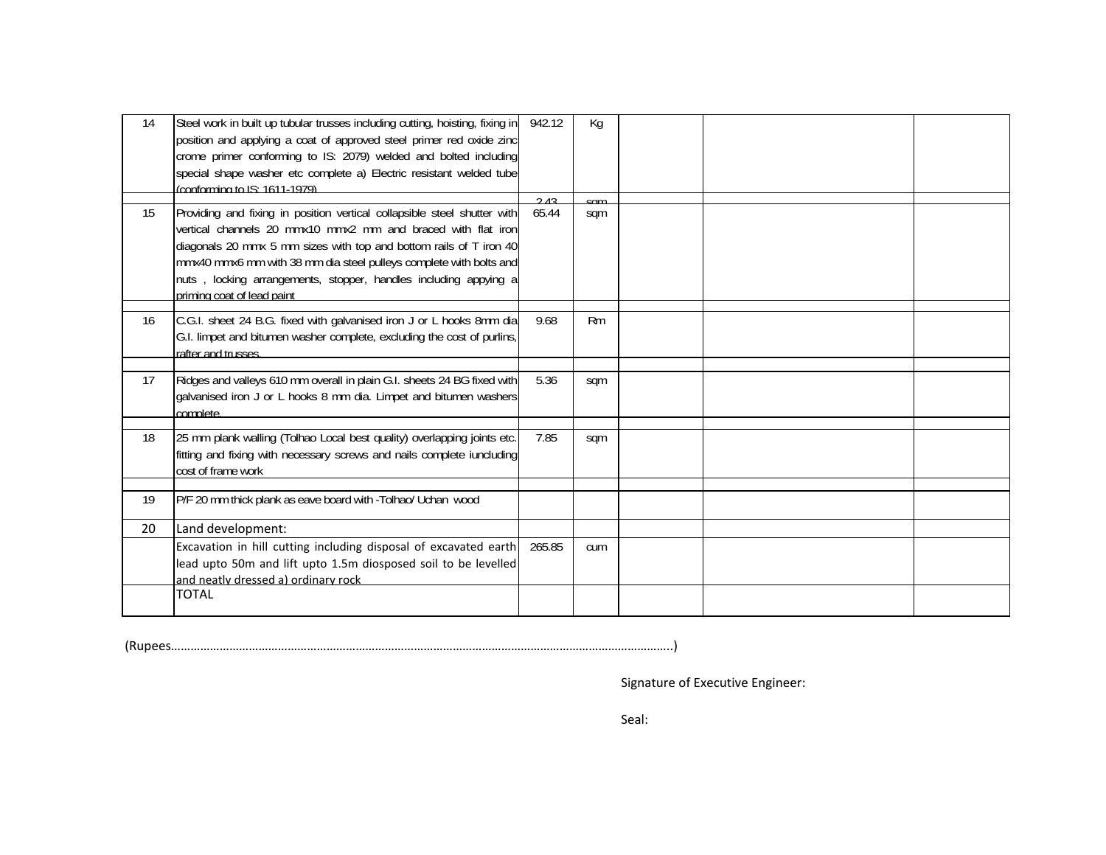| 14 | Steel work in built up tubular trusses including cutting, hoisting, fixing in<br>position and applying a coat of approved steel primer red oxide zinc<br>crome primer conforming to IS: 2079) welded and bolted including<br>special shape washer etc complete a) Electric resistant welded tube<br>$(conformina to IS: 1611-1979)$                                                    | 942.12 | Kg             |  |  |
|----|----------------------------------------------------------------------------------------------------------------------------------------------------------------------------------------------------------------------------------------------------------------------------------------------------------------------------------------------------------------------------------------|--------|----------------|--|--|
|    |                                                                                                                                                                                                                                                                                                                                                                                        | 212    | $\varsigma$ nm |  |  |
| 15 | Providing and fixing in position vertical collapsible steel shutter with<br>vertical channels 20 mmx10 mmx2 mm and braced with flat iron<br>diagonals 20 mmx 5 mm sizes with top and bottom rails of T iron 40<br>mmx40 mmx6 mm with 38 mm dia steel pulleys complete with bolts and<br>nuts, locking arrangements, stopper, handles including appying a<br>priming coat of lead paint | 65.44  | sqm            |  |  |
|    |                                                                                                                                                                                                                                                                                                                                                                                        |        |                |  |  |
| 16 | C.G.I. sheet 24 B.G. fixed with galvanised iron J or L hooks 8mm dia<br>G.I. limpet and bitumen washer complete, excluding the cost of purlins,<br>rafter and trusses.                                                                                                                                                                                                                 | 9.68   | Rm             |  |  |
|    |                                                                                                                                                                                                                                                                                                                                                                                        |        |                |  |  |
| 17 | Ridges and valleys 610 mm overall in plain G.I. sheets 24 BG fixed with<br>galvanised iron J or L hooks 8 mm dia. Limpet and bitumen washers<br>complete.                                                                                                                                                                                                                              | 5.36   | sqm            |  |  |
|    |                                                                                                                                                                                                                                                                                                                                                                                        |        |                |  |  |
| 18 | 25 mm plank walling (Tolhao Local best quality) overlapping joints etc.<br>fitting and fixing with necessary screws and nails complete iuncluding<br>cost of frame work                                                                                                                                                                                                                | 7.85   | sqm            |  |  |
|    |                                                                                                                                                                                                                                                                                                                                                                                        |        |                |  |  |
| 19 | P/F 20 mm thick plank as eave board with -Tolhao/ Uchan wood                                                                                                                                                                                                                                                                                                                           |        |                |  |  |
| 20 | Land development:                                                                                                                                                                                                                                                                                                                                                                      |        |                |  |  |
|    | Excavation in hill cutting including disposal of excavated earth<br>lead upto 50m and lift upto 1.5m diosposed soil to be levelled<br>and neatly dressed a) ordinary rock                                                                                                                                                                                                              | 265.85 | cum            |  |  |
|    | <b>TOTAL</b>                                                                                                                                                                                                                                                                                                                                                                           |        |                |  |  |
|    |                                                                                                                                                                                                                                                                                                                                                                                        |        |                |  |  |

(Rupees………………………………………………………………………………………………………………………………………..)

Signature of Executive Engineer:

Seal: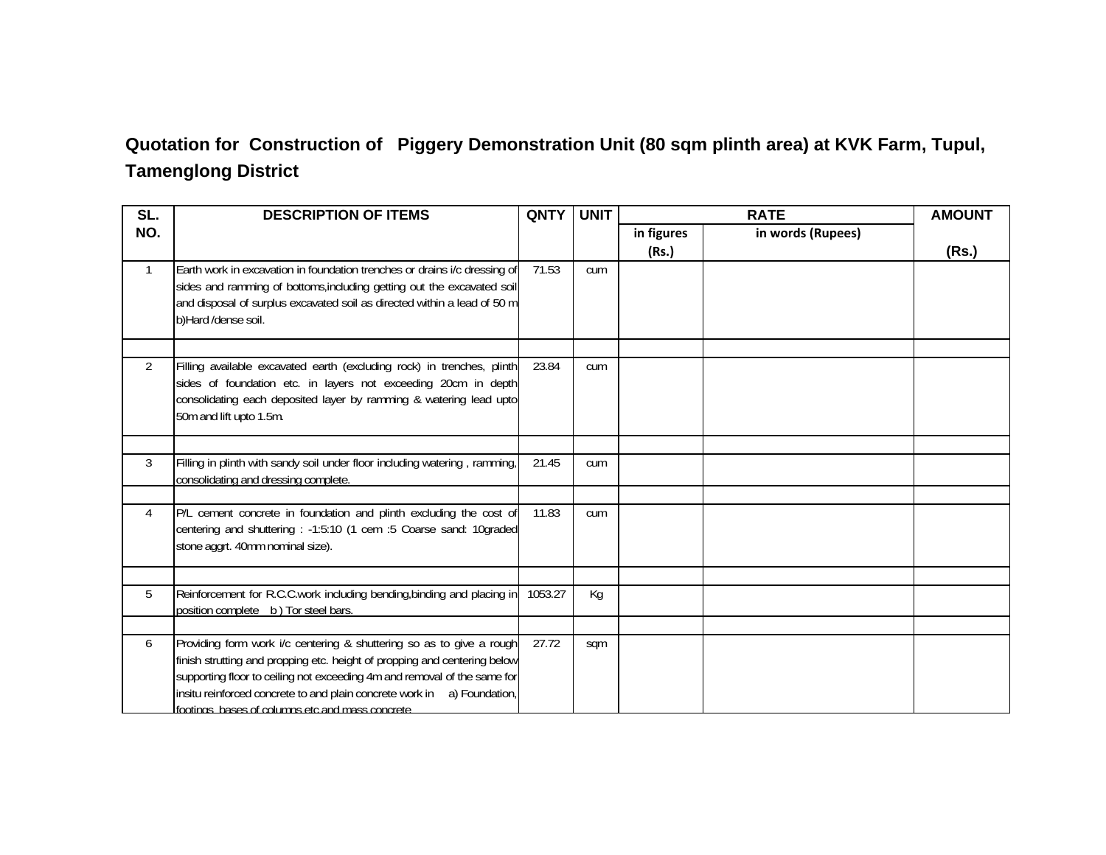## **Quotation for Construction of Piggery Demonstration Unit (80 sqm plinth area) at KVK Farm, Tupul, Tamenglong District**

| SL.            | <b>DESCRIPTION OF ITEMS</b>                                                                                                                                                                                                                                                                                                                                  | <b>QNTY</b> | <b>UNIT</b> |                     | <b>RATE</b>       | <b>AMOUNT</b> |
|----------------|--------------------------------------------------------------------------------------------------------------------------------------------------------------------------------------------------------------------------------------------------------------------------------------------------------------------------------------------------------------|-------------|-------------|---------------------|-------------------|---------------|
| NO.            |                                                                                                                                                                                                                                                                                                                                                              |             |             | in figures<br>(Rs.) | in words (Rupees) | (Rs.)         |
| $\mathbf{1}$   | Earth work in excavation in foundation trenches or drains i/c dressing of<br>sides and ramming of bottoms, including getting out the excavated soil<br>and disposal of surplus excavated soil as directed within a lead of 50 m<br>b)Hard /dense soil.                                                                                                       | 71.53       | cum         |                     |                   |               |
| $\overline{2}$ | Filling available excavated earth (excluding rock) in trenches, plinth<br>sides of foundation etc. in layers not exceeding 20cm in depth<br>consolidating each deposited layer by ramming & watering lead upto<br>50m and lift upto 1.5m.                                                                                                                    | 23.84       | cum         |                     |                   |               |
| $\mathbf{3}$   | Filling in plinth with sandy soil under floor including watering, ramming,<br>consolidating and dressing complete.                                                                                                                                                                                                                                           | 21.45       | cum         |                     |                   |               |
| $\overline{4}$ | P/L cement concrete in foundation and plinth excluding the cost of<br>centering and shuttering : -1:5:10 (1 cem :5 Coarse sand: 10graded<br>stone aggrt. 40mm nominal size).                                                                                                                                                                                 | 11.83       | cum         |                     |                   |               |
| 5              | Reinforcement for R.C.C.work including bending, binding and placing in<br>position complete b) Tor steel bars.                                                                                                                                                                                                                                               | 1053.27     | Kg          |                     |                   |               |
| 6              | Providing form work i/c centering & shuttering so as to give a rough<br>finish strutting and propping etc. height of propping and centering below<br>supporting floor to ceiling not exceeding 4m and removal of the same for<br>insitu reinforced concrete to and plain concrete work in a) Foundation,<br>footings, bases of columns etc and mass concrete | 27.72       | sqm         |                     |                   |               |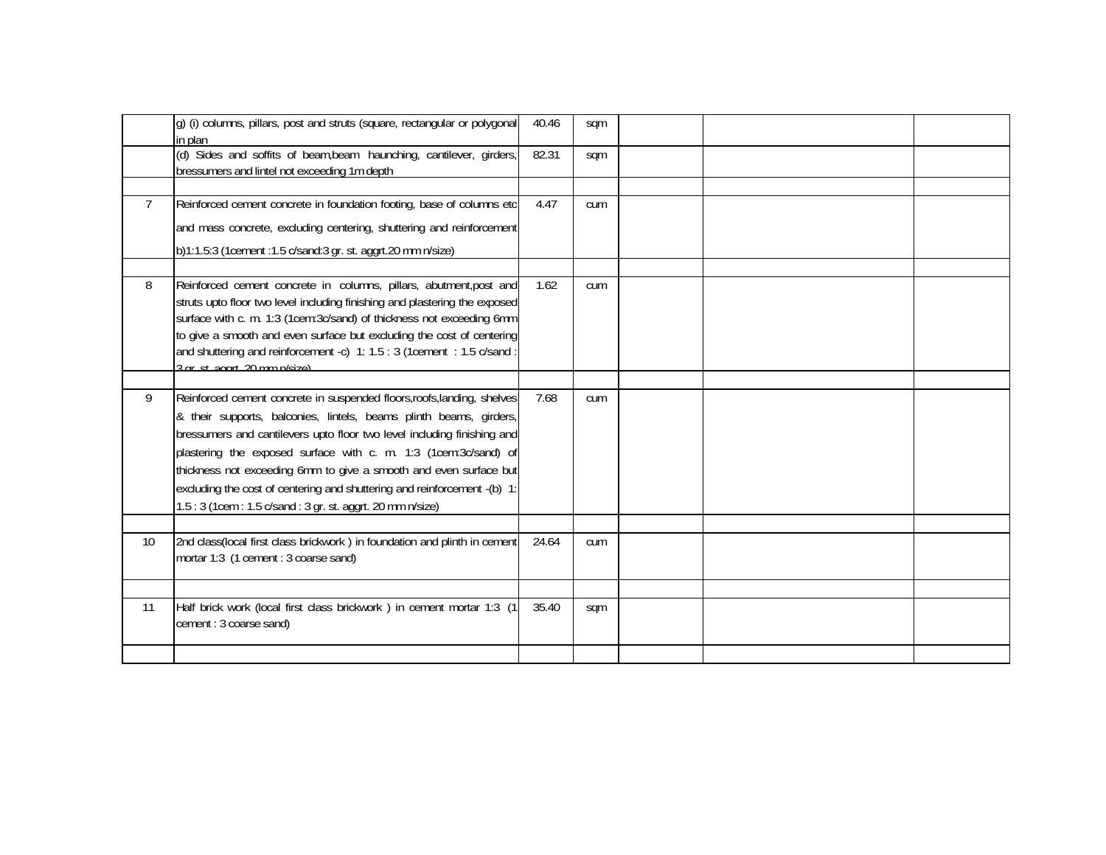|                | g) (i) columns, pillars, post and struts (square, rectangular or polygonal<br>in plan                                                            | 40.46 | sqm |  |  |
|----------------|--------------------------------------------------------------------------------------------------------------------------------------------------|-------|-----|--|--|
|                | (d) Sides and soffits of beam, beam haunching, cantilever, girders,<br>bressumers and lintel not exceeding 1m depth                              | 82.31 | sqm |  |  |
|                |                                                                                                                                                  |       |     |  |  |
| $\overline{7}$ | Reinforced cement concrete in foundation footing, base of columns etc                                                                            | 4.47  | cum |  |  |
|                | and mass concrete, excluding centering, shuttering and reinforcement                                                                             |       |     |  |  |
|                | b)1:1.5:3 (1cement :1.5 c/sand:3 gr. st. aggrt.20 mm n/size)                                                                                     |       |     |  |  |
|                |                                                                                                                                                  |       |     |  |  |
| 8              | Reinforced cement concrete in columns, pillars, abutment, post and<br>struts upto floor two level including finishing and plastering the exposed | 1.62  | cum |  |  |
|                | surface with c. m. 1:3 (1cem:3c/sand) of thickness not exceeding 6mm                                                                             |       |     |  |  |
|                | to give a smooth and even surface but excluding the cost of centering                                                                            |       |     |  |  |
|                | and shuttering and reinforcement -c) 1: 1.5 : 3 (1cement : 1.5 c/sand :                                                                          |       |     |  |  |
|                | $3$ ar st agart $20$ mm n/size)                                                                                                                  |       |     |  |  |
| 9              | Reinforced cement concrete in suspended floors, roofs, landing, shelves                                                                          | 7.68  | cum |  |  |
|                | & their supports, balconies, lintels, beams plinth beams, girders,                                                                               |       |     |  |  |
|                | bressumers and cantilevers upto floor two level including finishing and                                                                          |       |     |  |  |
|                | plastering the exposed surface with c. m. 1:3 (1cem:3c/sand) of                                                                                  |       |     |  |  |
|                | thickness not exceeding 6mm to give a smooth and even surface but                                                                                |       |     |  |  |
|                | excluding the cost of centering and shuttering and reinforcement -(b) 1:                                                                         |       |     |  |  |
|                | 1.5: 3 (1cem: 1.5 c/sand: 3 gr. st. aggrt. 20 mm n/size)                                                                                         |       |     |  |  |
|                |                                                                                                                                                  |       |     |  |  |
| 10             | 2nd class(local first class brickwork) in foundation and plinth in cement<br>mortar 1:3 (1 cement : 3 coarse sand)                               | 24.64 | cum |  |  |
|                |                                                                                                                                                  |       |     |  |  |
|                |                                                                                                                                                  |       |     |  |  |
| 11             | Half brick work (local first class brickwork) in cement mortar 1:3 (1)                                                                           | 35.40 | sqm |  |  |
|                | cement: 3 coarse sand)                                                                                                                           |       |     |  |  |
|                |                                                                                                                                                  |       |     |  |  |
|                |                                                                                                                                                  |       |     |  |  |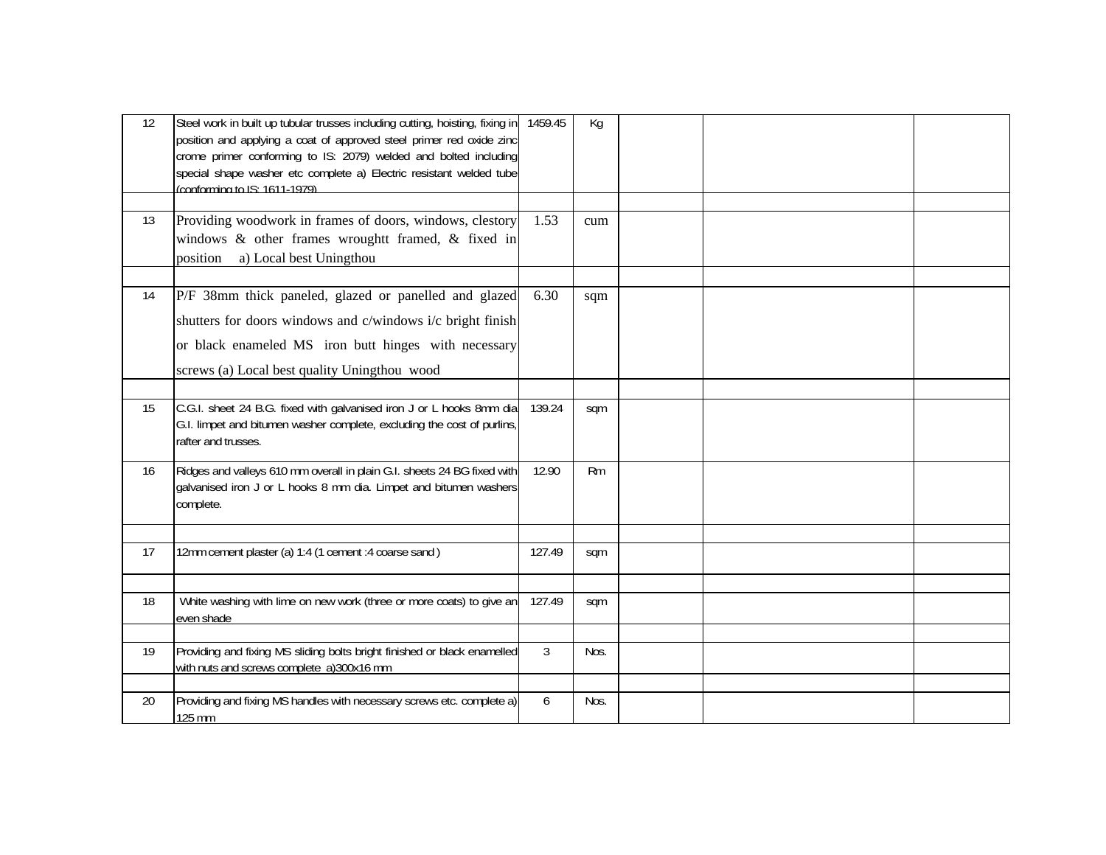| 12 | Steel work in built up tubular trusses including cutting, hoisting, fixing in 1459.45<br>position and applying a coat of approved steel primer red oxide zinc<br>crome primer conforming to IS: 2079) welded and bolted including<br>special shape washer etc complete a) Electric resistant welded tube<br>(conforming to IS: 1611-1979) |                | Kg   |  |  |
|----|-------------------------------------------------------------------------------------------------------------------------------------------------------------------------------------------------------------------------------------------------------------------------------------------------------------------------------------------|----------------|------|--|--|
|    |                                                                                                                                                                                                                                                                                                                                           |                |      |  |  |
| 13 | Providing woodwork in frames of doors, windows, clestory<br>windows & other frames wroughtt framed, & fixed in<br>a) Local best Uningthou<br>position                                                                                                                                                                                     | 1.53           | cum  |  |  |
|    |                                                                                                                                                                                                                                                                                                                                           |                |      |  |  |
| 14 | P/F 38mm thick paneled, glazed or panelled and glazed<br>shutters for doors windows and c/windows i/c bright finish<br>or black enameled MS iron butt hinges with necessary<br>screws (a) Local best quality Uningthou wood                                                                                                               | 6.30           | sqm  |  |  |
|    |                                                                                                                                                                                                                                                                                                                                           |                |      |  |  |
| 15 | C.G.I. sheet 24 B.G. fixed with galvanised iron J or L hooks 8mm dia<br>G.I. limpet and bitumen washer complete, excluding the cost of purlins,<br>rafter and trusses.                                                                                                                                                                    | 139.24         | sqm  |  |  |
| 16 | Ridges and valleys 610 mm overall in plain G.I. sheets 24 BG fixed with<br>galvanised iron J or L hooks 8 mm dia. Limpet and bitumen washers<br>complete.                                                                                                                                                                                 | 12.90          | Rm   |  |  |
|    |                                                                                                                                                                                                                                                                                                                                           |                |      |  |  |
| 17 | 12mm cement plaster (a) 1:4 (1 cement :4 coarse sand)                                                                                                                                                                                                                                                                                     | 127.49         | sqm  |  |  |
|    |                                                                                                                                                                                                                                                                                                                                           |                |      |  |  |
| 18 | White washing with lime on new work (three or more coats) to give an<br>even shade                                                                                                                                                                                                                                                        | 127.49         | sqm  |  |  |
|    |                                                                                                                                                                                                                                                                                                                                           |                |      |  |  |
| 19 | Providing and fixing MS sliding bolts bright finished or black enamelled<br>with nuts and screws complete a)300x16 mm                                                                                                                                                                                                                     | $\mathfrak{Z}$ | Nos. |  |  |
|    |                                                                                                                                                                                                                                                                                                                                           |                |      |  |  |
| 20 | Providing and fixing MS handles with necessary screws etc. complete a)<br>125 mm                                                                                                                                                                                                                                                          | 6              | Nos. |  |  |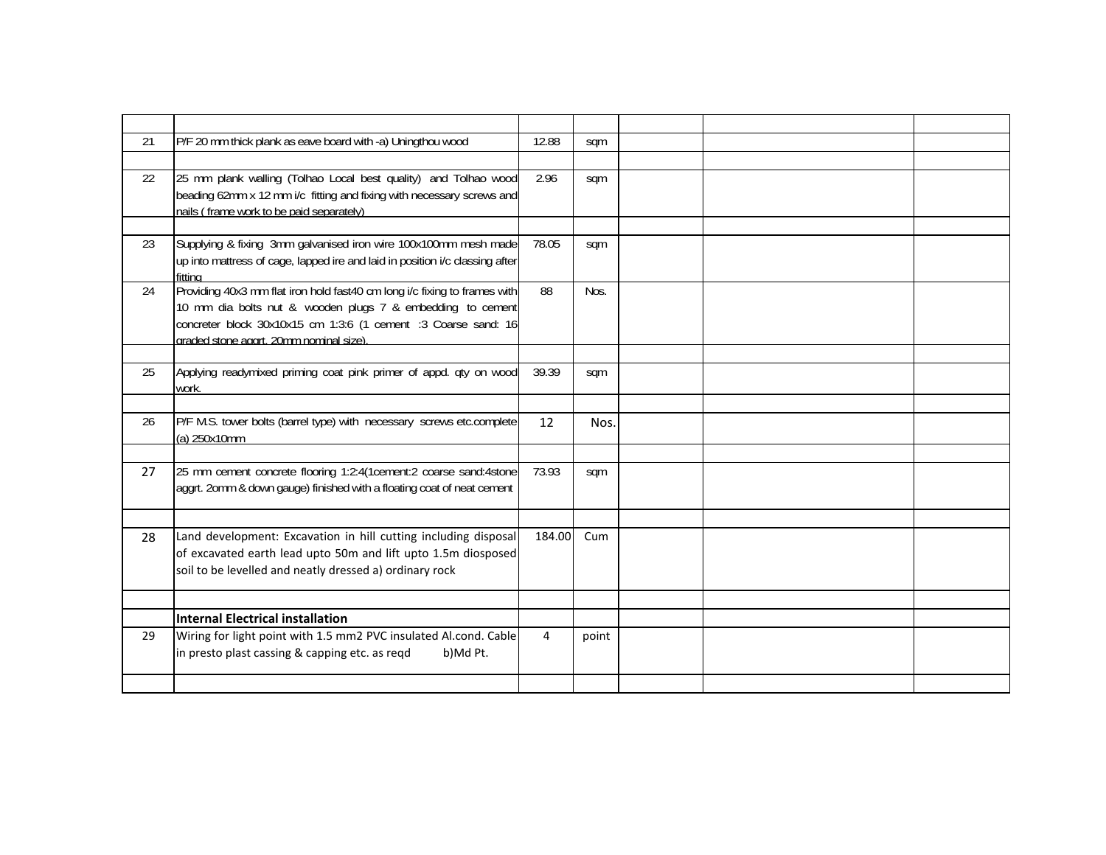| 21 | P/F 20 mm thick plank as eave board with -a) Uningthou wood                                                                                                                                                                                          | 12.88          | sqm   |  |  |
|----|------------------------------------------------------------------------------------------------------------------------------------------------------------------------------------------------------------------------------------------------------|----------------|-------|--|--|
|    |                                                                                                                                                                                                                                                      |                |       |  |  |
| 22 | 25 mm plank walling (Tolhao Local best quality) and Tolhao wood<br>beading 62mm x 12 mm i/c fitting and fixing with necessary screws and<br>nails (frame work to be paid separately)                                                                 | 2.96           | sqm   |  |  |
|    |                                                                                                                                                                                                                                                      |                |       |  |  |
| 23 | Supplying & fixing 3mm galvanised iron wire 100x100mm mesh made<br>up into mattress of cage, lapped ire and laid in position i/c classing after<br>fitting                                                                                           | 78.05          | sqm   |  |  |
| 24 | Providing 40x3 mm flat iron hold fast40 cm long i/c fixing to frames with<br>10 mm dia bolts nut & wooden plugs 7 & embedding to cement<br>concreter block 30x10x15 cm 1:3:6 (1 cement :3 Coarse sand: 16<br>graded stone aggrt. 20mm nominal size). | 88             | Nos.  |  |  |
|    |                                                                                                                                                                                                                                                      |                |       |  |  |
| 25 | Applying readymixed priming coat pink primer of appd. qty on wood<br>work.                                                                                                                                                                           | 39.39          | sqm   |  |  |
|    |                                                                                                                                                                                                                                                      |                |       |  |  |
| 26 | P/F M.S. tower bolts (barrel type) with necessary screws etc.complete<br>(a) 250x10mm                                                                                                                                                                | 12             | Nos.  |  |  |
|    |                                                                                                                                                                                                                                                      |                |       |  |  |
| 27 | 25 mm cement concrete flooring 1:2:4(1cement:2 coarse sand:4stone<br>aggrt. 2omm & down gauge) finished with a floating coat of neat cement                                                                                                          | 73.93          | sqm   |  |  |
|    |                                                                                                                                                                                                                                                      |                |       |  |  |
| 28 | Land development: Excavation in hill cutting including disposal<br>of excavated earth lead upto 50m and lift upto 1.5m diosposed<br>soil to be levelled and neatly dressed a) ordinary rock                                                          | 184.00         | Cum   |  |  |
|    |                                                                                                                                                                                                                                                      |                |       |  |  |
|    | <b>Internal Electrical installation</b>                                                                                                                                                                                                              |                |       |  |  |
| 29 | Wiring for light point with 1.5 mm2 PVC insulated Al.cond. Cable<br>in presto plast cassing & capping etc. as reqd<br>b)Md Pt.                                                                                                                       | $\overline{4}$ | point |  |  |
|    |                                                                                                                                                                                                                                                      |                |       |  |  |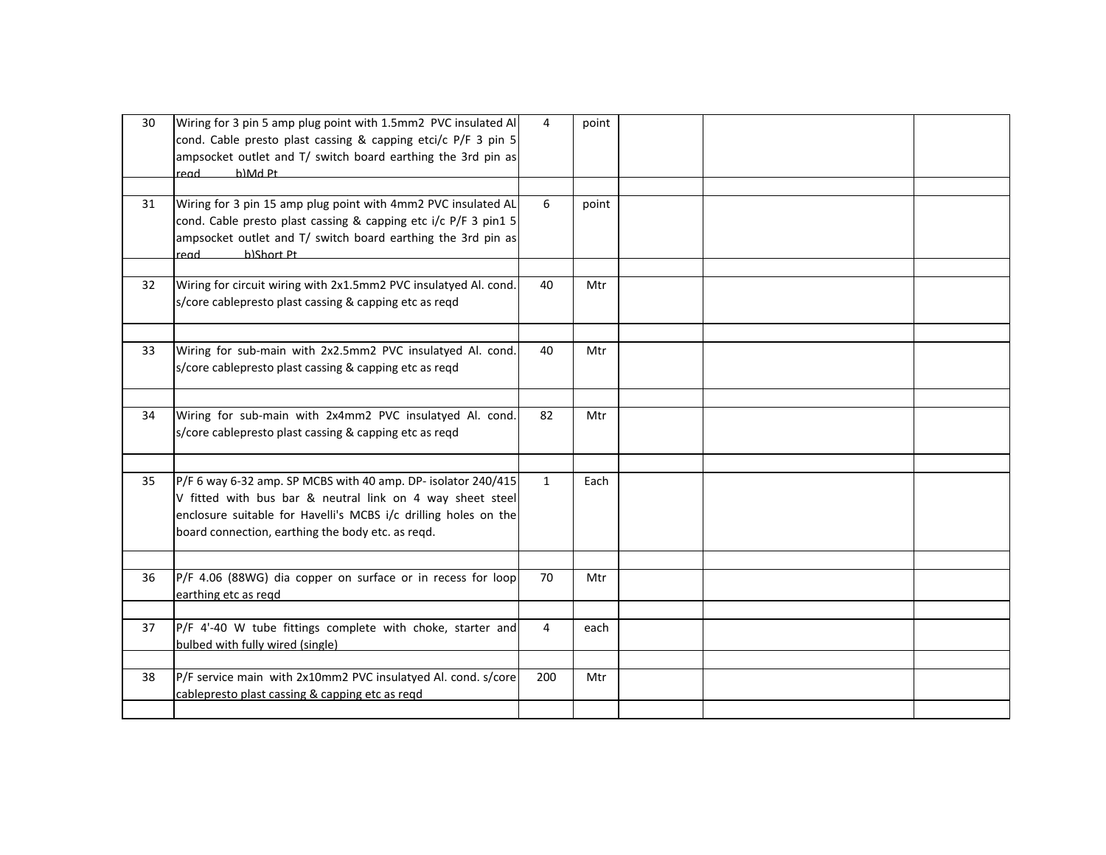| 30 | Wiring for 3 pin 5 amp plug point with 1.5mm2 PVC insulated Al<br>cond. Cable presto plast cassing & capping etci/c P/F 3 pin 5<br>ampsocket outlet and T/ switch board earthing the 3rd pin as<br>hner<br>h)Md Pt                                 | $\overline{4}$ | point |  |  |
|----|----------------------------------------------------------------------------------------------------------------------------------------------------------------------------------------------------------------------------------------------------|----------------|-------|--|--|
|    |                                                                                                                                                                                                                                                    |                |       |  |  |
| 31 | Wiring for 3 pin 15 amp plug point with 4mm2 PVC insulated AL<br>cond. Cable presto plast cassing & capping etc i/c P/F 3 pin1 5<br>ampsocket outlet and T/ switch board earthing the 3rd pin as<br>h)Short Pt<br>read                             | 6              | point |  |  |
|    |                                                                                                                                                                                                                                                    |                |       |  |  |
| 32 | Wiring for circuit wiring with 2x1.5mm2 PVC insulatyed Al. cond.<br>s/core cablepresto plast cassing & capping etc as reqd                                                                                                                         | 40             | Mtr   |  |  |
|    |                                                                                                                                                                                                                                                    |                |       |  |  |
| 33 | Wiring for sub-main with 2x2.5mm2 PVC insulatyed Al. cond.<br>s/core cablepresto plast cassing & capping etc as reqd                                                                                                                               | 40             | Mtr   |  |  |
|    |                                                                                                                                                                                                                                                    |                |       |  |  |
| 34 | Wiring for sub-main with 2x4mm2 PVC insulatyed Al. cond.<br>s/core cablepresto plast cassing & capping etc as reqd                                                                                                                                 | 82             | Mtr   |  |  |
|    |                                                                                                                                                                                                                                                    |                |       |  |  |
| 35 | P/F 6 way 6-32 amp. SP MCBS with 40 amp. DP- isolator 240/415<br>V fitted with bus bar & neutral link on 4 way sheet steel<br>enclosure suitable for Havelli's MCBS i/c drilling holes on the<br>board connection, earthing the body etc. as reqd. | $\mathbf{1}$   | Each  |  |  |
|    |                                                                                                                                                                                                                                                    |                |       |  |  |
| 36 | P/F 4.06 (88WG) dia copper on surface or in recess for loop<br>earthing etc as regd                                                                                                                                                                | 70             | Mtr   |  |  |
|    |                                                                                                                                                                                                                                                    |                |       |  |  |
| 37 | P/F 4'-40 W tube fittings complete with choke, starter and<br>bulbed with fully wired (single)                                                                                                                                                     | $\overline{4}$ | each  |  |  |
|    |                                                                                                                                                                                                                                                    |                |       |  |  |
| 38 | P/F service main with 2x10mm2 PVC insulatyed Al. cond. s/core<br>cablepresto plast cassing & capping etc as regd                                                                                                                                   | 200            | Mtr   |  |  |
|    |                                                                                                                                                                                                                                                    |                |       |  |  |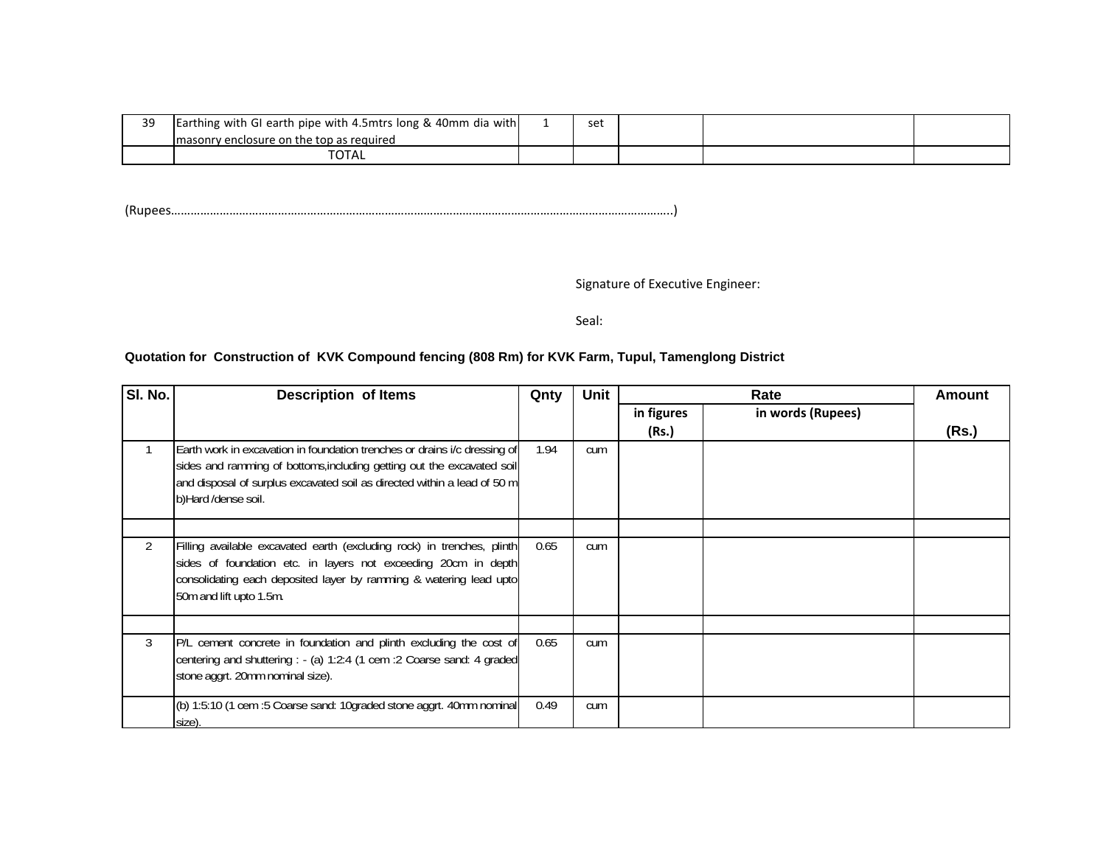| 39 | Earthing with GI earth pipe with 4.5mtrs long & 40mm dia with | set |  |  |
|----|---------------------------------------------------------------|-----|--|--|
|    | I masonry enclosure on the top as required                    |     |  |  |
|    | TOTAL                                                         |     |  |  |

(Rupees………………………………………………………………………………………………………………………………………..)

Signature of Executive Engineer:

Seal:

## **Quotation for Construction of KVK Compound fencing (808 Rm) for KVK Farm, Tupul, Tamenglong District**

| SI. No. | <b>Description of Items</b>                                                                                                                                                                                                                            | Qnty | Unit | Rate       |                   | <b>Amount</b> |
|---------|--------------------------------------------------------------------------------------------------------------------------------------------------------------------------------------------------------------------------------------------------------|------|------|------------|-------------------|---------------|
|         |                                                                                                                                                                                                                                                        |      |      | in figures | in words (Rupees) |               |
|         |                                                                                                                                                                                                                                                        |      |      | (Rs.)      |                   | (Rs.)         |
|         | Earth work in excavation in foundation trenches or drains i/c dressing of<br>sides and ramming of bottoms, including getting out the excavated soil<br>and disposal of surplus excavated soil as directed within a lead of 50 m<br>b)Hard /dense soil. | 1.94 | cum  |            |                   |               |
|         |                                                                                                                                                                                                                                                        |      |      |            |                   |               |
| 2       | Filling available excavated earth (excluding rock) in trenches, plinth<br>sides of foundation etc. in layers not exceeding 20cm in depth<br>consolidating each deposited layer by ramming & watering lead upto<br>50m and lift upto 1.5m.              | 0.65 | cum  |            |                   |               |
|         |                                                                                                                                                                                                                                                        |      |      |            |                   |               |
| 3       | P/L cement concrete in foundation and plinth excluding the cost of<br>centering and shuttering : - (a) 1:2:4 (1 cem : 2 Coarse sand: 4 graded<br>stone aggrt. 20mm nominal size).                                                                      | 0.65 | cum  |            |                   |               |
|         | (b) 1:5:10 (1 cem :5 Coarse sand: 10graded stone aggrt. 40mm nominal<br>size).                                                                                                                                                                         | 0.49 | cum  |            |                   |               |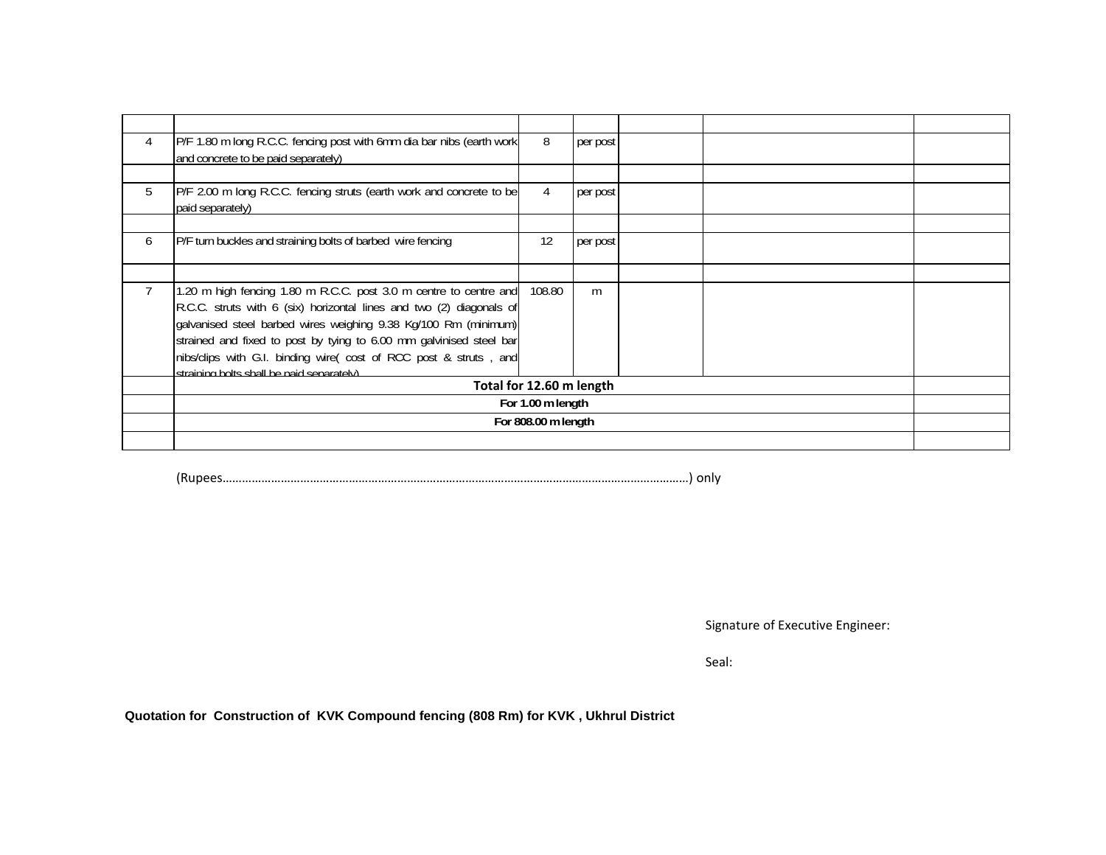| 4 | P/F 1.80 m long R.C.C. fencing post with 6mm dia bar nibs (earth work<br>and concrete to be paid separately)                                                                                                                                                                                                                                                                                          | 8                        | per post |  |  |
|---|-------------------------------------------------------------------------------------------------------------------------------------------------------------------------------------------------------------------------------------------------------------------------------------------------------------------------------------------------------------------------------------------------------|--------------------------|----------|--|--|
|   |                                                                                                                                                                                                                                                                                                                                                                                                       |                          |          |  |  |
| 5 | P/F 2.00 m long R.C.C. fencing struts (earth work and concrete to be<br>paid separately)                                                                                                                                                                                                                                                                                                              | $\overline{4}$           | per post |  |  |
|   |                                                                                                                                                                                                                                                                                                                                                                                                       |                          |          |  |  |
| 6 | P/F turn buckles and straining bolts of barbed wire fencing                                                                                                                                                                                                                                                                                                                                           | 12                       | per post |  |  |
|   |                                                                                                                                                                                                                                                                                                                                                                                                       |                          |          |  |  |
|   | 1.20 m high fencing 1.80 m R.C.C. post 3.0 m centre to centre and<br>R.C.C. struts with 6 (six) horizontal lines and two (2) diagonals of<br>galvanised steel barbed wires weighing 9.38 Kg/100 Rm (minimum)<br>strained and fixed to post by tying to 6.00 mm galvinised steel bar<br>nibs/clips with G.I. binding wire( cost of RCC post & struts, and<br>straining holts shall he naid senarately) | 108.80                   | m        |  |  |
|   |                                                                                                                                                                                                                                                                                                                                                                                                       | Total for 12.60 m length |          |  |  |
|   |                                                                                                                                                                                                                                                                                                                                                                                                       | For 1.00 m length        |          |  |  |
|   |                                                                                                                                                                                                                                                                                                                                                                                                       | For 808.00 m length      |          |  |  |
|   |                                                                                                                                                                                                                                                                                                                                                                                                       |                          |          |  |  |

(Rupees………………………………………………………………………………………………………………………………) only

Signature of Executive Engineer:

Seal:

**Quotation for Construction of KVK Compound fencing (808 Rm) for KVK , Ukhrul District**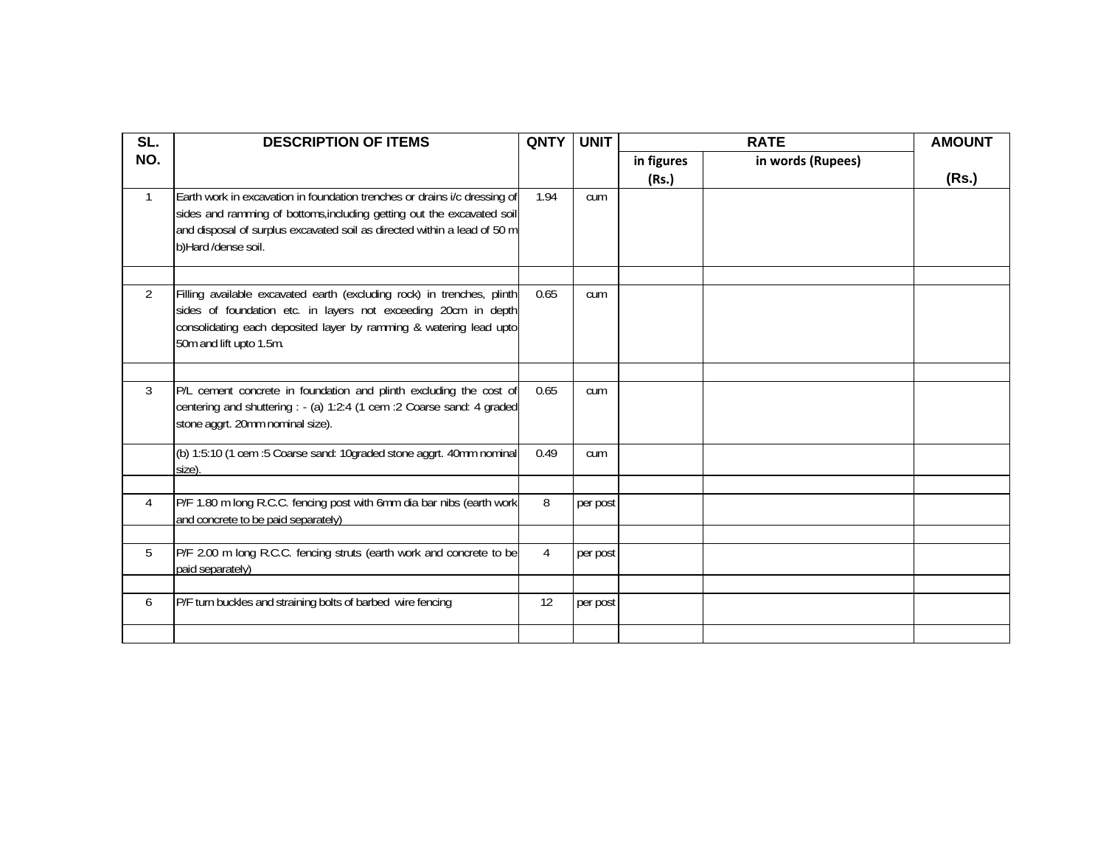| SL.            | <b>DESCRIPTION OF ITEMS</b>                                                                                                                                                                                                                            | <b>QNTY</b>    | <b>UNIT</b> |                     | <b>RATE</b>       | <b>AMOUNT</b> |
|----------------|--------------------------------------------------------------------------------------------------------------------------------------------------------------------------------------------------------------------------------------------------------|----------------|-------------|---------------------|-------------------|---------------|
| NO.            |                                                                                                                                                                                                                                                        |                |             | in figures<br>(Rs.) | in words (Rupees) | (Rs.)         |
| $\mathbf{1}$   | Earth work in excavation in foundation trenches or drains i/c dressing of<br>sides and ramming of bottoms, including getting out the excavated soil<br>and disposal of surplus excavated soil as directed within a lead of 50 m<br>b)Hard /dense soil. | 1.94           | cum         |                     |                   |               |
| $\overline{2}$ | Filling available excavated earth (excluding rock) in trenches, plinth<br>sides of foundation etc. in layers not exceeding 20cm in depth<br>consolidating each deposited layer by ramming & watering lead upto<br>50m and lift upto 1.5m.              | 0.65           | cum         |                     |                   |               |
|                |                                                                                                                                                                                                                                                        |                |             |                     |                   |               |
| 3              | P/L cement concrete in foundation and plinth excluding the cost of<br>centering and shuttering : - (a) 1:2:4 (1 cem : 2 Coarse sand: 4 graded<br>stone aggrt. 20mm nominal size).                                                                      | 0.65           | cum         |                     |                   |               |
|                | (b) 1:5:10 (1 cem :5 Coarse sand: 10graded stone aggrt. 40mm nominal<br>size).                                                                                                                                                                         | 0.49           | cum         |                     |                   |               |
|                |                                                                                                                                                                                                                                                        |                |             |                     |                   |               |
| 4              | P/F 1.80 m long R.C.C. fencing post with 6mm dia bar nibs (earth work<br>and concrete to be paid separately)                                                                                                                                           | 8              | per post    |                     |                   |               |
|                |                                                                                                                                                                                                                                                        |                |             |                     |                   |               |
| 5              | P/F 2.00 m long R.C.C. fencing struts (earth work and concrete to be<br>paid separately)                                                                                                                                                               | $\overline{4}$ | per post    |                     |                   |               |
|                |                                                                                                                                                                                                                                                        |                |             |                     |                   |               |
| 6              | P/F turn buckles and straining bolts of barbed wire fencing                                                                                                                                                                                            | 12             | per post    |                     |                   |               |
|                |                                                                                                                                                                                                                                                        |                |             |                     |                   |               |